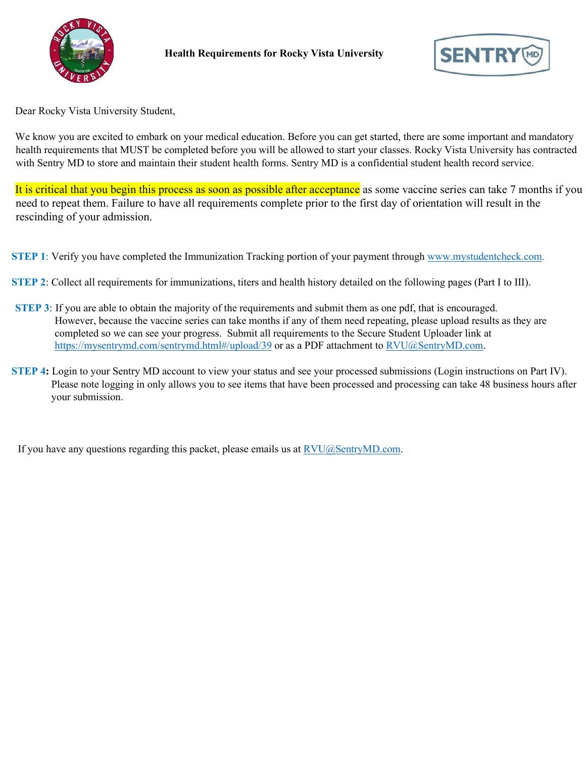



Dear Rocky Vista University Student,

We know you are excited to embark on your medical education. Before you can get started, there are some important and mandatory health requirements that MUST be completed before you will be allowed to start your classes. Rocky Vista University has contracted with Sentry MD to store and maintain their student health forms. Sentry MD is a confidential student health record service.

It is critical that you begin this process as soon as possible after acceptance as some vaccine series can take 7 months if you need to repeat them. Failure to have all requirements complete prior to the first day of orientation will result in the rescinding of your admission.

**STEP 1**: Verify you have completed the Immunization Tracking portion of your payment through [www.mystudentcheck.com.](http://www.mystudentcheck.com/)

- **STEP 2**: Collect all requirements for immunizations, titers and health history detailed on the following pages (Part I to III).
- **STEP 3**: If you are able to obtain the majority of the requirements and submit them as one pdf, that is encouraged. However, because the vaccine series can take months if any of them need repeating, please upload results as they are completed so we can see your progress. Submit all requirements to the Secure Student Uploader link at <https://mysentrymd.com/sentrymd.html#/upload/39> or as a PDF attachment to [RVU@SentryMD.com.](mailto:RVU@SentryMD.com)
- **STEP 4:** Login to your Sentry MD account to view your status and see your processed submissions (Login instructions on Part IV). Please note logging in only allows you to see items that have been processed and processing can take 48 business hours after your submission.

If you have any questions regarding this packet, please emails us at [RVU@SentryMD.com.](mailto:RVU@SentryMD.com)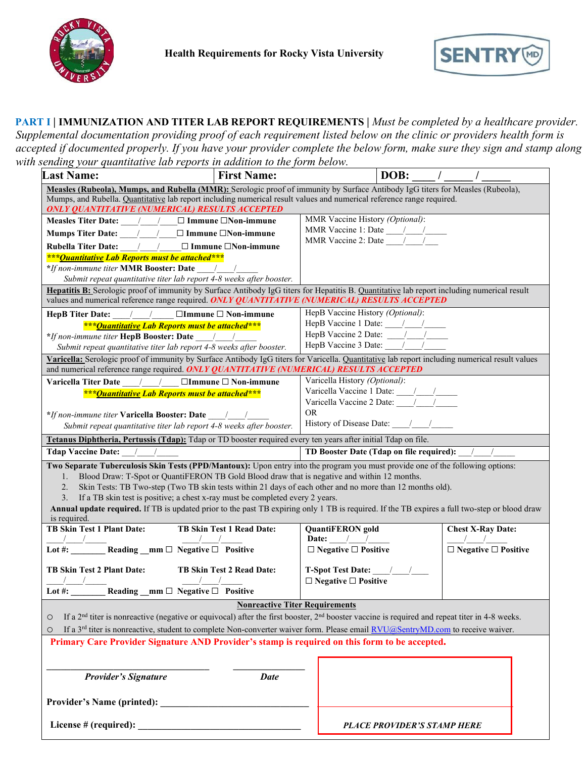



**PART I | IMMUNIZATION AND TITER LAB REPORT REQUIREMENTS |** *Must be completed by a healthcare provider. Supplemental documentation providing proof of each requirement listed below on the clinic or providers health form is accepted if documented properly. If you have your provider complete the below form, make sure they sign and stamp along with sending your quantitative lab reports in addition to the form below.* 

| sending your quantitative lab reports in addition to the form below.                                                                                                                                                                         |                                                                                                          |                                                     |                                    |                                 |
|----------------------------------------------------------------------------------------------------------------------------------------------------------------------------------------------------------------------------------------------|----------------------------------------------------------------------------------------------------------|-----------------------------------------------------|------------------------------------|---------------------------------|
| <b>Last Name:</b>                                                                                                                                                                                                                            | <b>First Name:</b>                                                                                       |                                                     | DOB:                               |                                 |
| Measles (Rubeola), Mumps, and Rubella (MMR): Serologic proof of immunity by Surface Antibody IgG titers for Measles (Rubeola),                                                                                                               |                                                                                                          |                                                     |                                    |                                 |
| Mumps, and Rubella. Quantitative lab report including numerical result values and numerical reference range required.                                                                                                                        |                                                                                                          |                                                     |                                    |                                 |
| ONLY QUANTITATIVE (NUMERICAL) RESULTS ACCEPTED                                                                                                                                                                                               |                                                                                                          |                                                     |                                    |                                 |
| Measles Titer Date: $/$ / $\Box$ Immune $\Box$ Non-immune                                                                                                                                                                                    |                                                                                                          | MMR Vaccine History (Optional):                     |                                    |                                 |
| Mumps Titer Date: ____/____/___ □ Immune □Non-immune                                                                                                                                                                                         |                                                                                                          | MMR Vaccine 1: Date $\frac{1}{\sqrt{2\pi}}$         |                                    |                                 |
| Rubella Titer Date: _____/_____/____ □ Immune □Non-immune                                                                                                                                                                                    |                                                                                                          | MMR Vaccine 2: Date $\frac{1}{\sqrt{2}}$            |                                    |                                 |
| *** Quantitative Lab Reports must be attached***                                                                                                                                                                                             |                                                                                                          |                                                     |                                    |                                 |
| *If non-immune titer MMR Booster: Date /                                                                                                                                                                                                     |                                                                                                          |                                                     |                                    |                                 |
| Submit repeat quantitative titer lab report 4-8 weeks after booster.                                                                                                                                                                         |                                                                                                          |                                                     |                                    |                                 |
| Hepatitis B: Serologic proof of immunity by Surface Antibody IgG titers for Hepatitis B. Quantitative lab report including numerical result<br>values and numerical reference range required. ONLY QUANTITATIVE (NUMERICAL) RESULTS ACCEPTED |                                                                                                          |                                                     |                                    |                                 |
| HepB Titer Date: $/$ / $\Box$ Immune $\Box$ Non-immune                                                                                                                                                                                       |                                                                                                          | HepB Vaccine History (Optional):                    |                                    |                                 |
| *** Ouantitative Lab Reports must be attached***                                                                                                                                                                                             |                                                                                                          | HepB Vaccine 1 Date: $\frac{1}{\sqrt{2}}$           |                                    |                                 |
| *If non-immune titer HepB Booster: Date /                                                                                                                                                                                                    |                                                                                                          | HepB Vaccine 2 Date: $\frac{1}{\sqrt{2}}$           |                                    |                                 |
| Submit repeat quantitative titer lab report 4-8 weeks after booster.                                                                                                                                                                         |                                                                                                          | HepB Vaccine 3 Date: 11                             |                                    |                                 |
| Varicella: Serologic proof of immunity by Surface Antibody IgG titers for Varicella. Quantitative lab report including numerical result values                                                                                               |                                                                                                          |                                                     |                                    |                                 |
| and numerical reference range required. ONLY QUANTITATIVE (NUMERICAL) RESULTS ACCEPTED                                                                                                                                                       |                                                                                                          |                                                     |                                    |                                 |
| Varicella Titer Date / / / □Immune □ Non-immune                                                                                                                                                                                              |                                                                                                          | Varicella History (Optional):                       |                                    |                                 |
| *** <i>Quantitative Lab Reports must be attached</i> ***                                                                                                                                                                                     |                                                                                                          | Varicella Vaccine 1 Date: \square_{\middlenable r}} |                                    |                                 |
|                                                                                                                                                                                                                                              |                                                                                                          | Varicella Vaccine 2 Date: $\frac{1}{2}$             |                                    |                                 |
| *If non-immune titer Varicella Booster: Date /                                                                                                                                                                                               |                                                                                                          | <b>OR</b>                                           |                                    |                                 |
| Submit repeat quantitative titer lab report 4-8 weeks after booster.                                                                                                                                                                         |                                                                                                          |                                                     |                                    |                                 |
| Tetanus Diphtheria, Pertussis (Tdap): Tdap or TD booster required every ten years after initial Tdap on file.                                                                                                                                |                                                                                                          |                                                     |                                    |                                 |
| TD Booster Date (Tdap on file required): /<br><b>Tdap Vaccine Date:</b>                                                                                                                                                                      |                                                                                                          |                                                     |                                    |                                 |
|                                                                                                                                                                                                                                              |                                                                                                          |                                                     |                                    |                                 |
| Two Separate Tuberculosis Skin Tests (PPD/Mantoux): Upon entry into the program you must provide one of the following options:                                                                                                               |                                                                                                          |                                                     |                                    |                                 |
| 1.                                                                                                                                                                                                                                           | Blood Draw: T-Spot or QuantiFERON TB Gold Blood draw that is negative and within 12 months.              |                                                     |                                    |                                 |
| 2.                                                                                                                                                                                                                                           | Skin Tests: TB Two-step (Two TB skin tests within 21 days of each other and no more than 12 months old). |                                                     |                                    |                                 |
| 3.                                                                                                                                                                                                                                           | If a TB skin test is positive; a chest x-ray must be completed every 2 years.                            |                                                     |                                    |                                 |
| Annual update required. If TB is updated prior to the past TB expiring only 1 TB is required. If the TB expires a full two-step or blood draw                                                                                                |                                                                                                          |                                                     |                                    |                                 |
| is required.                                                                                                                                                                                                                                 |                                                                                                          |                                                     |                                    |                                 |
| <b>TB Skin Test 1 Plant Date:</b>                                                                                                                                                                                                            | TB Skin Test 1 Read Date:                                                                                | <b>QuantiFERON</b> gold                             |                                    | <b>Chest X-Ray Date:</b>        |
|                                                                                                                                                                                                                                              |                                                                                                          | Date: $/$ /                                         |                                    | $\sqrt{1}$                      |
| Lot #: $\frac{1}{\sqrt{1-\frac{1}{n}}}\text{Reading }_{\text{mm}}\Box\text{ Negative }\Box\text{ Positive}$                                                                                                                                  |                                                                                                          | $\Box$ Negative $\Box$ Positive                     |                                    | $\Box$ Negative $\Box$ Positive |
| <b>TB Skin Test 2 Plant Date:</b>                                                                                                                                                                                                            | <b>TB Skin Test 2 Read Date:</b>                                                                         |                                                     |                                    |                                 |
|                                                                                                                                                                                                                                              |                                                                                                          | $\Box$ Negative $\Box$ Positive                     |                                    |                                 |
| _/_____<br>__________Reading __mm □ Negative □ Positive<br>Lot #: $\overline{\phantom{a}}$                                                                                                                                                   |                                                                                                          |                                                     |                                    |                                 |
|                                                                                                                                                                                                                                              | <b>Nonreactive Titer Requirements</b>                                                                    |                                                     |                                    |                                 |
| If a 2 <sup>nd</sup> titer is nonreactive (negative or equivocal) after the first booster, $2nd$ booster vaccine is required and repeat titer in 4-8 weeks.<br>$\circ$                                                                       |                                                                                                          |                                                     |                                    |                                 |
| If a 3 <sup>rd</sup> titer is nonreactive, student to complete Non-converter waiver form. Please email <b>RVU@SentryMD.com</b> to receive waiver.<br>O                                                                                       |                                                                                                          |                                                     |                                    |                                 |
| Primary Care Provider Signature AND Provider's stamp is required on this form to be accepted.                                                                                                                                                |                                                                                                          |                                                     |                                    |                                 |
|                                                                                                                                                                                                                                              |                                                                                                          |                                                     |                                    |                                 |
|                                                                                                                                                                                                                                              |                                                                                                          |                                                     |                                    |                                 |
| <b>Provider's Signature</b>                                                                                                                                                                                                                  | <b>Date</b>                                                                                              |                                                     |                                    |                                 |
|                                                                                                                                                                                                                                              |                                                                                                          |                                                     |                                    |                                 |
|                                                                                                                                                                                                                                              |                                                                                                          |                                                     |                                    |                                 |
|                                                                                                                                                                                                                                              |                                                                                                          |                                                     |                                    |                                 |
|                                                                                                                                                                                                                                              |                                                                                                          |                                                     | <b>PLACE PROVIDER'S STAMP HERE</b> |                                 |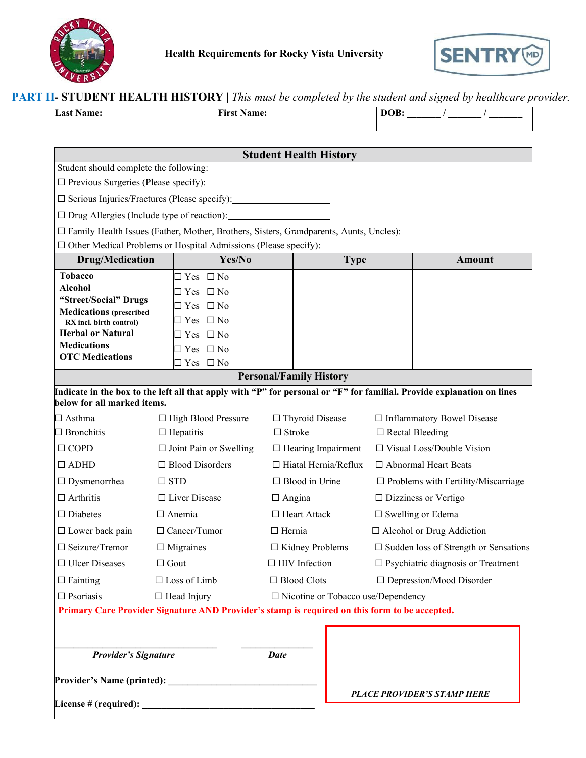



| <b>PART II- STUDENT HEALTH HISTORY</b>   This must be completed by the student and signed by healthcare provider. |  |  |  |  |
|-------------------------------------------------------------------------------------------------------------------|--|--|--|--|
|-------------------------------------------------------------------------------------------------------------------|--|--|--|--|

| <b>Last Name:</b> | <b>First Name:</b> | $\sim$ $\sim$ |
|-------------------|--------------------|---------------|
|                   |                    |               |

| <b>Student Health History</b>                       |                                                                                                                        |                                |                                              |                                              |                                                 |
|-----------------------------------------------------|------------------------------------------------------------------------------------------------------------------------|--------------------------------|----------------------------------------------|----------------------------------------------|-------------------------------------------------|
| Student should complete the following:              |                                                                                                                        |                                |                                              |                                              |                                                 |
| $\Box$ Previous Surgeries (Please specify):         |                                                                                                                        |                                |                                              |                                              |                                                 |
|                                                     | □ Serious Injuries/Fractures (Please specify): _________________________________                                       |                                |                                              |                                              |                                                 |
| $\Box$ Drug Allergies (Include type of reaction):   |                                                                                                                        |                                |                                              |                                              |                                                 |
|                                                     | $\Box$ Family Health Issues (Father, Mother, Brothers, Sisters, Grandparents, Aunts, Uncles):                          |                                |                                              |                                              |                                                 |
|                                                     | $\Box$ Other Medical Problems or Hospital Admissions (Please specify):<br>Yes/No                                       |                                |                                              |                                              | <b>Amount</b>                                   |
| <b>Drug/Medication</b><br><b>Tobacco</b>            |                                                                                                                        |                                | <b>Type</b>                                  |                                              |                                                 |
| <b>Alcohol</b>                                      | $\exists$ Yes $\Box$ No                                                                                                |                                |                                              |                                              |                                                 |
| "Street/Social" Drugs                               | $\Box$ Yes $\Box$ No<br>$\exists$ Yes $\Box$ No                                                                        |                                |                                              |                                              |                                                 |
| <b>Medications</b> (prescribed                      | $\Box$ Yes $\Box$ No                                                                                                   |                                |                                              |                                              |                                                 |
| RX incl. birth control)<br><b>Herbal or Natural</b> | $\exists$ Yes $\Box$ No                                                                                                |                                |                                              |                                              |                                                 |
| <b>Medications</b>                                  | $\Box$ Yes $\Box$ No                                                                                                   |                                |                                              |                                              |                                                 |
| <b>OTC</b> Medications                              | $\exists$ Yes $\Box$ No                                                                                                |                                |                                              |                                              |                                                 |
|                                                     |                                                                                                                        | <b>Personal/Family History</b> |                                              |                                              |                                                 |
|                                                     | Indicate in the box to the left all that apply with "P" for personal or "F" for familial. Provide explanation on lines |                                |                                              |                                              |                                                 |
| below for all marked items.                         |                                                                                                                        |                                |                                              |                                              |                                                 |
| $\Box$ Asthma                                       | □ High Blood Pressure                                                                                                  | □ Thyroid Disease              |                                              |                                              | $\Box$ Inflammatory Bowel Disease               |
| $\Box$ Bronchitis                                   | $\Box$ Hepatitis                                                                                                       | $\Box$ Stroke                  |                                              |                                              | $\Box$ Rectal Bleeding                          |
| $\Box$ COPD                                         | $\Box$ Joint Pain or Swelling                                                                                          |                                | $\Box$ Hearing Impairment                    |                                              | $\square$ Visual Loss/Double Vision             |
| $\Box$ ADHD                                         | $\Box$ Blood Disorders                                                                                                 |                                | $\Box$ Hiatal Hernia/Reflux                  |                                              | □ Abnormal Heart Beats                          |
| $\Box$ Dysmenorrhea                                 | $\square$ STD                                                                                                          | $\Box$ Blood in Urine          |                                              |                                              | $\Box$ Problems with Fertility/Miscarriage      |
| $\Box$ Arthritis                                    | □ Liver Disease                                                                                                        | $\Box$ Angina                  |                                              | $\Box$ Dizziness or Vertigo                  |                                                 |
| $\Box$ Diabetes                                     | $\Box$ Anemia                                                                                                          | $\Box$ Heart Attack            |                                              | $\square$ Swelling or Edema                  |                                                 |
| $\Box$ Lower back pain                              | $\Box$ Cancer/Tumor                                                                                                    | $\Box$ Hernia                  |                                              | $\Box$ Alcohol or Drug Addiction             |                                                 |
| $\Box$ Seizure/Tremor                               | $\Box$ Migraines                                                                                                       | $\Box$ Kidney Problems         |                                              |                                              | $\square$ Sudden loss of Strength or Sensations |
| □ Ulcer Diseases                                    | $\Box$ Gout                                                                                                            | $\Box$ HIV Infection           |                                              | $\square$ Psychiatric diagnosis or Treatment |                                                 |
| $\Box$ Fainting                                     | $\Box$ Loss of Limb                                                                                                    | $\Box$ Blood Clots             |                                              | $\Box$ Depression/Mood Disorder              |                                                 |
| $\Box$<br>Psoriasis                                 | $\Box$ Head Injury                                                                                                     |                                | $\square$ Nicotine or Tobacco use/Dependency |                                              |                                                 |
|                                                     | Primary Care Provider Signature AND Provider's stamp is required on this form to be accepted.                          |                                |                                              |                                              |                                                 |
|                                                     |                                                                                                                        |                                |                                              |                                              |                                                 |
|                                                     |                                                                                                                        |                                |                                              |                                              |                                                 |
| <b>Provider's Signature</b>                         |                                                                                                                        | <b>Date</b>                    |                                              |                                              |                                                 |
| Provider's Name (printed):                          |                                                                                                                        |                                |                                              |                                              |                                                 |
|                                                     |                                                                                                                        |                                |                                              |                                              | <b>PLACE PROVIDER'S STAMP HERE</b>              |
|                                                     |                                                                                                                        |                                |                                              |                                              |                                                 |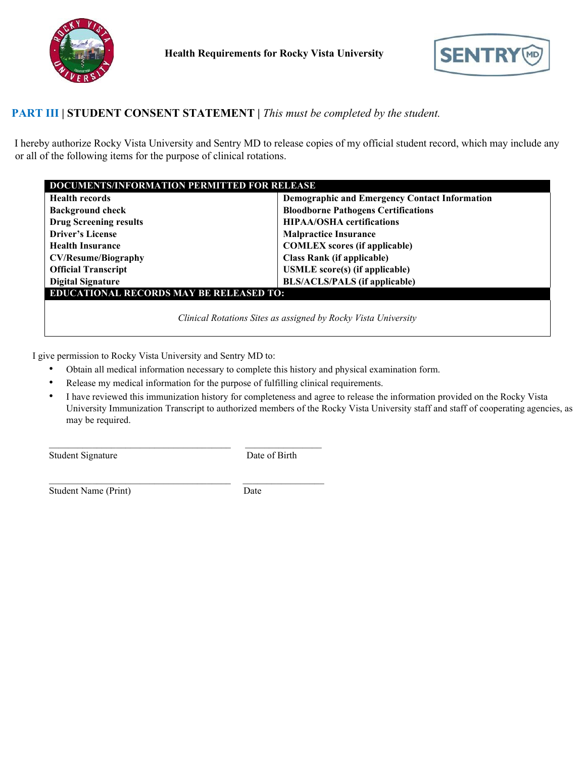



## **PART III | STUDENT CONSENT STATEMENT |** *This must be completed by the student.*

I hereby authorize Rocky Vista University and Sentry MD to release copies of my official student record, which may include any or all of the following items for the purpose of clinical rotations.

| <b>DOCUMENTS/INFORMATION PERMITTED FOR RELEASE</b>             |                                                      |  |
|----------------------------------------------------------------|------------------------------------------------------|--|
| <b>Health records</b>                                          | <b>Demographic and Emergency Contact Information</b> |  |
| <b>Background check</b>                                        | <b>Bloodborne Pathogens Certifications</b>           |  |
| <b>Drug Screening results</b>                                  | <b>HIPAA/OSHA</b> certifications                     |  |
| <b>Driver's License</b>                                        | <b>Malpractice Insurance</b>                         |  |
| <b>Health Insurance</b>                                        | <b>COMLEX</b> scores (if applicable)                 |  |
| <b>CV/Resume/Biography</b>                                     | <b>Class Rank (if applicable)</b>                    |  |
| <b>Official Transcript</b>                                     | <b>USMLE</b> score(s) (if applicable)                |  |
| <b>Digital Signature</b>                                       | <b>BLS/ACLS/PALS (if applicable)</b>                 |  |
| <b>EDUCATIONAL RECORDS MAY BE RELEASED TO:</b>                 |                                                      |  |
| Clinical Rotations Sites as assigned by Rocky Vista University |                                                      |  |
|                                                                |                                                      |  |

I give permission to Rocky Vista University and Sentry MD to:

- Obtain all medical information necessary to complete this history and physical examination form.
- Release my medical information for the purpose of fulfilling clinical requirements.

 $\_$  , and the set of the set of the set of the set of the set of the set of the set of the set of the set of the set of the set of the set of the set of the set of the set of the set of the set of the set of the set of th

\_\_\_\_\_\_\_\_\_\_\_\_\_\_\_\_\_\_\_\_\_\_\_\_\_\_\_\_\_\_\_\_\_\_\_\_\_\_ \_\_\_\_\_\_\_\_\_\_\_\_\_\_\_\_\_

• I have reviewed this immunization history for completeness and agree to release the information provided on the Rocky Vista University Immunization Transcript to authorized members of the Rocky Vista University staff and staff of cooperating agencies, as may be required.

Student Signature Date of Birth

Student Name (Print) Date